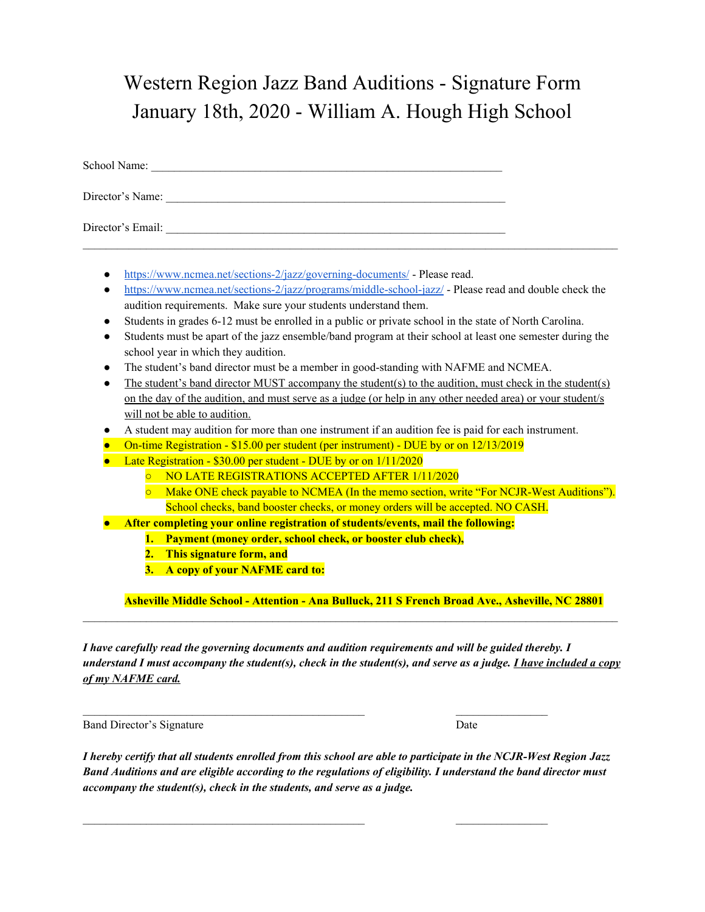## Western Region Jazz Band Auditions - Signature Form January 18th, 2020 - William A. Hough High School

| School Name:      |  |  |
|-------------------|--|--|
| Director's Name:  |  |  |
| Director's Email: |  |  |

- <https://www.ncmea.net/sections-2/jazz/governing-documents/> Please read.
- <https://www.ncmea.net/sections-2/jazz/programs/middle-school-jazz/> Please read and double check the audition requirements. Make sure your students understand them.

 $\mathcal{L}_\mathcal{L} = \{ \mathcal{L}_\mathcal{L} = \{ \mathcal{L}_\mathcal{L} = \{ \mathcal{L}_\mathcal{L} = \{ \mathcal{L}_\mathcal{L} = \{ \mathcal{L}_\mathcal{L} = \{ \mathcal{L}_\mathcal{L} = \{ \mathcal{L}_\mathcal{L} = \{ \mathcal{L}_\mathcal{L} = \{ \mathcal{L}_\mathcal{L} = \{ \mathcal{L}_\mathcal{L} = \{ \mathcal{L}_\mathcal{L} = \{ \mathcal{L}_\mathcal{L} = \{ \mathcal{L}_\mathcal{L} = \{ \mathcal{L}_\mathcal{$ 

- Students in grades 6-12 must be enrolled in a public or private school in the state of North Carolina.
- Students must be apart of the jazz ensemble/band program at their school at least one semester during the school year in which they audition.
- The student's band director must be a member in good-standing with NAFME and NCMEA.
- The student's band director MUST accompany the student(s) to the audition, must check in the student(s) on the day of the audition, and must serve as a judge (or help in any other needed area) or your student/s will not be able to audition.
- A student may audition for more than one instrument if an audition fee is paid for each instrument.
- On-time Registration \$15.00 per student (per instrument) DUE by or on 12/13/2019
- Late Registration \$30.00 per student DUE by or on 1/11/2020
	- NO LATE REGISTRATIONS ACCEPTED AFTER 1/11/2020
	- Make ONE check payable to NCMEA (In the memo section, write "For NCJR-West Auditions"). School checks, band booster checks, or money orders will be accepted. NO CASH.
- **● After completing your online registration of students/events, mail the following:**

 $\mathcal{L}_\text{max}$  , and the contribution of the contribution of the contribution of the contribution of the contribution of the contribution of the contribution of the contribution of the contribution of the contribution of t

 $\mathcal{L}_\text{max}$  , and the set of the set of the set of the set of the set of the set of the set of the set of the set of the set of the set of the set of the set of the set of the set of the set of the set of the set of the

- **1. Payment (money order, school check, or booster club check),**
- **2. This signature form, and**
- **3. A copy of your NAFME card to:**

**Asheville Middle School - Attention - Ana Bulluck, 211 S French Broad Ave., Asheville, NC 28801**

*I have carefully read the governing documents and audition requirements and will be guided thereby. I* understand I must accompany the student(s), check in the student(s), and serve as a judge. I have included a copy *of my NAFME card.*

 $\mathcal{L}_\mathcal{L} = \{ \mathcal{L}_\mathcal{L} = \{ \mathcal{L}_\mathcal{L} = \{ \mathcal{L}_\mathcal{L} = \{ \mathcal{L}_\mathcal{L} = \{ \mathcal{L}_\mathcal{L} = \{ \mathcal{L}_\mathcal{L} = \{ \mathcal{L}_\mathcal{L} = \{ \mathcal{L}_\mathcal{L} = \{ \mathcal{L}_\mathcal{L} = \{ \mathcal{L}_\mathcal{L} = \{ \mathcal{L}_\mathcal{L} = \{ \mathcal{L}_\mathcal{L} = \{ \mathcal{L}_\mathcal{L} = \{ \mathcal{L}_\mathcal{$ 

Band Director's Signature Date

I hereby certify that all students enrolled from this school are able to participate in the NCJR-West Region Jazz Band Auditions and are eligible according to the regulations of eligibility. I understand the band director must *accompany the student(s), check in the students, and serve as a judge.*